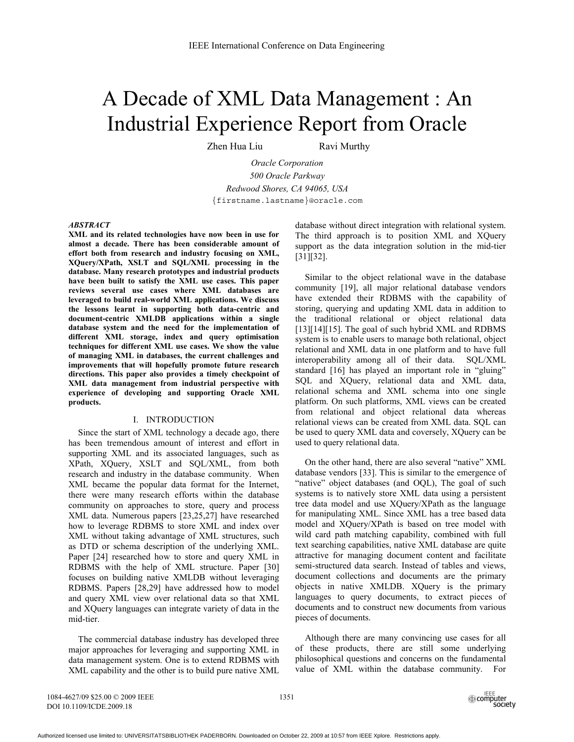# A Decade of XML Data Management : An Industrial Experience Report from Oracle

Zhen Hua Liu Ravi Murthy

*Oracle Corporation 500 Oracle Parkway Redwood Shores, CA 94065, USA*  {firstname.lastname}@oracle.com

#### *ABSTRACT*

**XML and its related technologies have now been in use for almost a decade. There has been considerable amount of effort both from research and industry focusing on XML, XQuery/XPath, XSLT and SQL/XML processing in the database. Many research prototypes and industrial products have been built to satisfy the XML use cases. This paper reviews several use cases where XML databases are leveraged to build real-world XML applications. We discuss the lessons learnt in supporting both data-centric and document-centric XMLDB applications within a single database system and the need for the implementation of different XML storage, index and query optimisation techniques for different XML use cases. We show the value of managing XML in databases, the current challenges and improvements that will hopefully promote future research directions. This paper also provides a timely checkpoint of XML data management from industrial perspective with experience of developing and supporting Oracle XML products.** 

#### I. INTRODUCTION

Since the start of XML technology a decade ago, there has been tremendous amount of interest and effort in supporting XML and its associated languages, such as XPath, XQuery, XSLT and SQL/XML, from both research and industry in the database community. When XML became the popular data format for the Internet, there were many research efforts within the database community on approaches to store, query and process XML data. Numerous papers [23,25,27] have researched how to leverage RDBMS to store XML and index over XML without taking advantage of XML structures, such as DTD or schema description of the underlying XML. Paper [24] researched how to store and query XML in RDBMS with the help of XML structure. Paper [30] focuses on building native XMLDB without leveraging RDBMS. Papers [28,29] have addressed how to model and query XML view over relational data so that XML and XQuery languages can integrate variety of data in the mid-tier.

The commercial database industry has developed three major approaches for leveraging and supporting XML in data management system. One is to extend RDBMS with XML capability and the other is to build pure native XML database without direct integration with relational system. The third approach is to position XML and XQuery support as the data integration solution in the mid-tier [31][32].

Similar to the object relational wave in the database community [19], all major relational database vendors have extended their RDBMS with the capability of storing, querying and updating XML data in addition to the traditional relational or object relational data [13][14][15]. The goal of such hybrid XML and RDBMS system is to enable users to manage both relational, object relational and XML data in one platform and to have full interoperability among all of their data. SQL/XML standard [16] has played an important role in "gluing" SQL and XQuery, relational data and XML data, relational schema and XML schema into one single platform. On such platforms, XML views can be created from relational and object relational data whereas relational views can be created from XML data. SQL can be used to query XML data and coversely, XQuery can be used to query relational data.

On the other hand, there are also several "native" XML database vendors [33]. This is similar to the emergence of "native" object databases (and OQL), The goal of such systems is to natively store XML data using a persistent tree data model and use XQuery/XPath as the language for manipulating XML. Since XML has a tree based data model and XQuery/XPath is based on tree model with wild card path matching capability, combined with full text searching capabilities, native XML database are quite attractive for managing document content and facilitate semi-structured data search. Instead of tables and views, document collections and documents are the primary objects in native XMLDB. XQuery is the primary languages to query documents, to extract pieces of documents and to construct new documents from various pieces of documents.

Although there are many convincing use cases for all of these products, there are still some underlying philosophical questions and concerns on the fundamental value of XML within the database community. For

1084-4627/09 \$25.00 © 2009 IEEE DOI 10.1109/ICDE.2009.18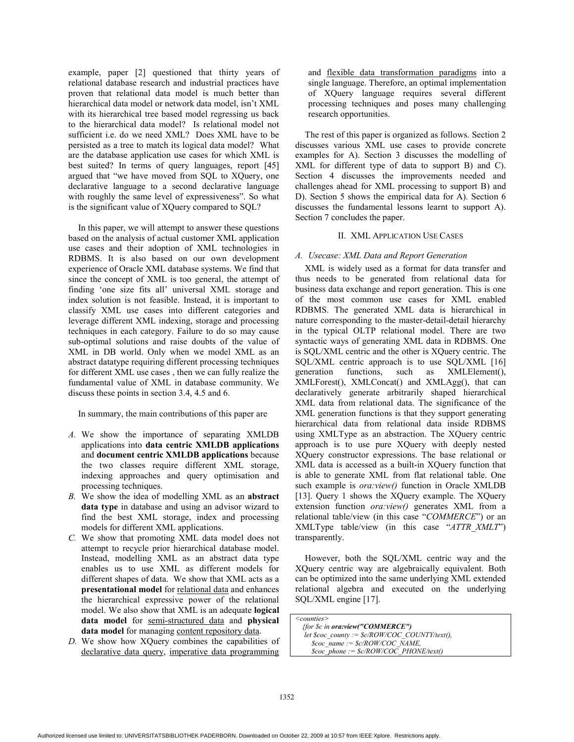example, paper [2] questioned that thirty years of relational database research and industrial practices have proven that relational data model is much better than hierarchical data model or network data model, isn't XML with its hierarchical tree based model regressing us back to the hierarchical data model? Is relational model not sufficient i.e. do we need XML? Does XML have to be persisted as a tree to match its logical data model? What are the database application use cases for which XML is best suited? In terms of query languages, report [45] argued that "we have moved from SQL to XQuery, one declarative language to a second declarative language with roughly the same level of expressiveness". So what is the significant value of XQuery compared to SQL?

In this paper, we will attempt to answer these questions based on the analysis of actual customer XML application use cases and their adoption of XML technologies in RDBMS. It is also based on our own development experience of Oracle XML database systems. We find that since the concept of XML is too general, the attempt of finding 'one size fits all' universal XML storage and index solution is not feasible. Instead, it is important to classify XML use cases into different categories and leverage different XML indexing, storage and processing techniques in each category. Failure to do so may cause sub-optimal solutions and raise doubts of the value of XML in DB world. Only when we model XML as an abstract datatype requiring different processing techniques for different XML use cases , then we can fully realize the fundamental value of XML in database community. We discuss these points in section 3.4, 4.5 and 6.

In summary, the main contributions of this paper are

- *A.* We show the importance of separating XMLDB applications into **data centric XMLDB applications** and **document centric XMLDB applications** because the two classes require different XML storage, indexing approaches and query optimisation and processing techniques.
- *B.* We show the idea of modelling XML as an **abstract data type** in database and using an advisor wizard to find the best XML storage, index and processing models for different XML applications.
- *C.* We show that promoting XML data model does not attempt to recycle prior hierarchical database model. Instead, modelling XML as an abstract data type enables us to use XML as different models for different shapes of data. We show that XML acts as a **presentational model** for relational data and enhances the hierarchical expressive power of the relational model. We also show that XML is an adequate **logical data model** for semi-structured data and **physical**  data model for managing content repository data.
- *D.* We show how XQuery combines the capabilities of declarative data query, imperative data programming

and flexible data transformation paradigms into a single language. Therefore, an optimal implementation of XQuery language requires several different processing techniques and poses many challenging research opportunities.

The rest of this paper is organized as follows. Section 2 discusses various XML use cases to provide concrete examples for A). Section 3 discusses the modelling of XML for different type of data to support B) and C). Section 4 discusses the improvements needed and challenges ahead for XML processing to support B) and D). Section 5 shows the empirical data for A). Section 6 discusses the fundamental lessons learnt to support A). Section 7 concludes the paper.

## II. XML APPLICATION USE CASES

## *A. Usecase: XML Data and Report Generation*

XML is widely used as a format for data transfer and thus needs to be generated from relational data for business data exchange and report generation. This is one of the most common use cases for XML enabled RDBMS. The generated XML data is hierarchical in nature corresponding to the master-detail-detail hierarchy in the typical OLTP relational model. There are two syntactic ways of generating XML data in RDBMS. One is SQL/XML centric and the other is XQuery centric. The SQL/XML centric approach is to use SQL/XML [16] generation functions, such as XMLElement(), XMLForest(), XMLConcat() and XMLAgg(), that can declaratively generate arbitrarily shaped hierarchical XML data from relational data. The significance of the XML generation functions is that they support generating hierarchical data from relational data inside RDBMS using XMLType as an abstraction. The XQuery centric approach is to use pure XQuery with deeply nested XQuery constructor expressions. The base relational or XML data is accessed as a built-in XQuery function that is able to generate XML from flat relational table. One such example is *ora:view()* function in Oracle XMLDB [13]. Query 1 shows the XQuery example. The XQuery extension function *ora:view()* generates XML from a relational table/view (in this case "*COMMERCE*") or an XMLType table/view (in this case "*ATTR\_XMLT*") transparently.

However, both the SQL/XML centric way and the XQuery centric way are algebraically equivalent. Both can be optimized into the same underlying XML extended relational algebra and executed on the underlying SQL/XML engine [17].

*<counties> {for \$c in ora:view("COMMERCE") let \$coc\_county := \$c/ROW/COC\_COUNTY/text(), \$coc\_name := \$c/ROW/COC\_NAME, \$coc\_phone := \$c/ROW/COC\_PHONE/text()*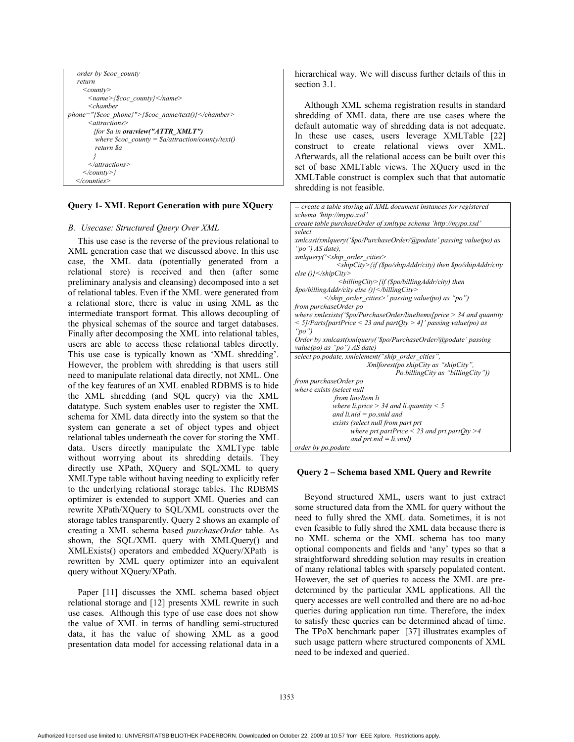| order by \$coc_county                                             |
|-------------------------------------------------------------------|
| return                                                            |
| $\langle$ county $\rangle$                                        |
| $\langle$ name $\rangle$ {\$coc county} $\langle$ /name $\rangle$ |
| $\leq$ chamber                                                    |
| $phone="$ / $% coc$ phone}">{\$coc_name/text()}                   |
| $\leq$ attractions>                                               |
| {for \$a in ora:view("ATTR XMLT")                                 |
| where $\&\ncoc$ county = $\&\ndation/count\$ /text()              |
| return \$a                                                        |
|                                                                   |
| $\le$ /attractions>                                               |
| $\langle$ /county>}                                               |
| $\le$ /counties>                                                  |

#### **Query 1- XML Report Generation with pure XQuery**

#### *B. Usecase: Structured Query Over XML*

This use case is the reverse of the previous relational to XML generation case that we discussed above. In this use case, the XML data (potentially generated from a relational store) is received and then (after some preliminary analysis and cleansing) decomposed into a set of relational tables. Even if the XML were generated from a relational store, there is value in using XML as the intermediate transport format. This allows decoupling of the physical schemas of the source and target databases. Finally after decomposing the XML into relational tables, users are able to access these relational tables directly. This use case is typically known as 'XML shredding'. However, the problem with shredding is that users still need to manipulate relational data directly, not XML. One of the key features of an XML enabled RDBMS is to hide the XML shredding (and SQL query) via the XML datatype. Such system enables user to register the XML schema for XML data directly into the system so that the system can generate a set of object types and object relational tables underneath the cover for storing the XML data. Users directly manipulate the XMLType table without worrying about its shredding details. They directly use XPath, XQuery and SQL/XML to query XMLType table without having needing to explicitly refer to the underlying relational storage tables. The RDBMS optimizer is extended to support XML Queries and can rewrite XPath/XQuery to SQL/XML constructs over the storage tables transparently. Query 2 shows an example of creating a XML schema based *purchaseOrder* table. As shown, the SQL/XML query with XMLQuery() and XMLExists() operators and embedded XQuery/XPath is rewritten by XML query optimizer into an equivalent query without XQuery/XPath.

Paper [11] discusses the XML schema based object relational storage and [12] presents XML rewrite in such use cases. Although this type of use case does not show the value of XML in terms of handling semi-structured data, it has the value of showing XML as a good presentation data model for accessing relational data in a

hierarchical way. We will discuss further details of this in section 3.1.

Although XML schema registration results in standard shredding of XML data, there are use cases where the default automatic way of shredding data is not adequate. In these use cases, users leverage XMLTable [22] construct to create relational views over XML. Afterwards, all the relational access can be built over this set of base XMLTable views. The XQuery used in the XMLTable construct is complex such that that automatic shredding is not feasible.



#### **Query 2 – Schema based XML Query and Rewrite**

Beyond structured XML, users want to just extract some structured data from the XML for query without the need to fully shred the XML data. Sometimes, it is not even feasible to fully shred the XML data because there is no XML schema or the XML schema has too many optional components and fields and 'any' types so that a straightforward shredding solution may results in creation of many relational tables with sparsely populated content. However, the set of queries to access the XML are predetermined by the particular XML applications. All the query accesses are well controlled and there are no ad-hoc queries during application run time. Therefore, the index to satisfy these queries can be determined ahead of time. The TPoX benchmark paper [37] illustrates examples of such usage pattern where structured components of XML need to be indexed and queried.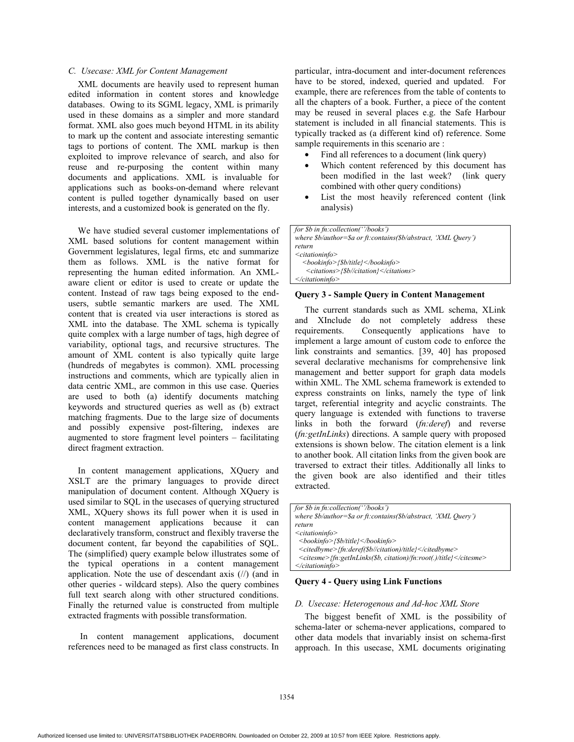## *C. Usecase: XML for Content Management*

XML documents are heavily used to represent human edited information in content stores and knowledge databases. Owing to its SGML legacy, XML is primarily used in these domains as a simpler and more standard format. XML also goes much beyond HTML in its ability to mark up the content and associate interesting semantic tags to portions of content. The XML markup is then exploited to improve relevance of search, and also for reuse and re-purposing the content within many documents and applications. XML is invaluable for applications such as books-on-demand where relevant content is pulled together dynamically based on user interests, and a customized book is generated on the fly.

We have studied several customer implementations of XML based solutions for content management within Government legislatures, legal firms, etc and summarize them as follows. XML is the native format for representing the human edited information. An XMLaware client or editor is used to create or update the content. Instead of raw tags being exposed to the endusers, subtle semantic markers are used. The XML content that is created via user interactions is stored as XML into the database. The XML schema is typically quite complex with a large number of tags, high degree of variability, optional tags, and recursive structures. The amount of XML content is also typically quite large (hundreds of megabytes is common). XML processing instructions and comments, which are typically alien in data centric XML, are common in this use case. Queries are used to both (a) identify documents matching keywords and structured queries as well as (b) extract matching fragments. Due to the large size of documents and possibly expensive post-filtering, indexes are augmented to store fragment level pointers – facilitating direct fragment extraction.

In content management applications, XQuery and XSLT are the primary languages to provide direct manipulation of document content. Although XQuery is used similar to SQL in the usecases of querying structured XML, XQuery shows its full power when it is used in content management applications because it can declaratively transform, construct and flexibly traverse the document content, far beyond the capabilities of SQL. The (simplified) query example below illustrates some of the typical operations in a content management application. Note the use of descendant axis (//) (and in other queries - wildcard steps). Also the query combines full text search along with other structured conditions. Finally the returned value is constructed from multiple extracted fragments with possible transformation.

 In content management applications, document references need to be managed as first class constructs. In

particular, intra-document and inter-document references have to be stored, indexed, queried and updated. For example, there are references from the table of contents to all the chapters of a book. Further, a piece of the content may be reused in several places e.g. the Safe Harbour statement is included in all financial statements. This is typically tracked as (a different kind of) reference. Some sample requirements in this scenario are :

- Find all references to a document (link query)
- Which content referenced by this document has been modified in the last week? (link query combined with other query conditions)
- List the most heavily referenced content (link analysis)

*for \$b in fn:collection(''/books') where \$b/author=\$a or ft:contains(\$b/abstract, 'XML Query') return <citationinfo> <bookinfo>{\$b/title}</bookinfo> <citations>{\$b//citation}</citations> </citationinfo>* 

#### **Query 3 - Sample Query in Content Management**

The current standards such as XML schema, XLink and XInclude do not completely address these requirements. Consequently applications have to implement a large amount of custom code to enforce the link constraints and semantics. [39, 40] has proposed several declarative mechanisms for comprehensive link management and better support for graph data models within XML. The XML schema framework is extended to express constraints on links, namely the type of link target, referential integrity and acyclic constraints. The query language is extended with functions to traverse links in both the forward (*fn:deref*) and reverse (*fn:getInLinks*) directions. A sample query with proposed extensions is shown below. The citation element is a link to another book. All citation links from the given book are traversed to extract their titles. Additionally all links to the given book are also identified and their titles extracted.

| for \$b in fn:collection("/books")                                 |
|--------------------------------------------------------------------|
| where \$b/author=\$a or ft:contains(\$b/abstract, 'XML Query')     |
| return                                                             |
| $\le$ citationinfo $\ge$                                           |
| <bookinfo>{\$b/title}</bookinfo>                                   |
| <citedbyme>{fn:deref(\$b//citation)/title}</citedbyme>             |
| <citesme>{fn:getInLinks(\$b, citation)/fn:root(.)/title}</citesme> |
| $\le$ /citationinfo>                                               |
|                                                                    |

#### **Query 4 - Query using Link Functions**

#### *D. Usecase: Heterogenous and Ad-hoc XML Store*

The biggest benefit of XML is the possibility of schema-later or schema-never applications, compared to other data models that invariably insist on schema-first approach. In this usecase, XML documents originating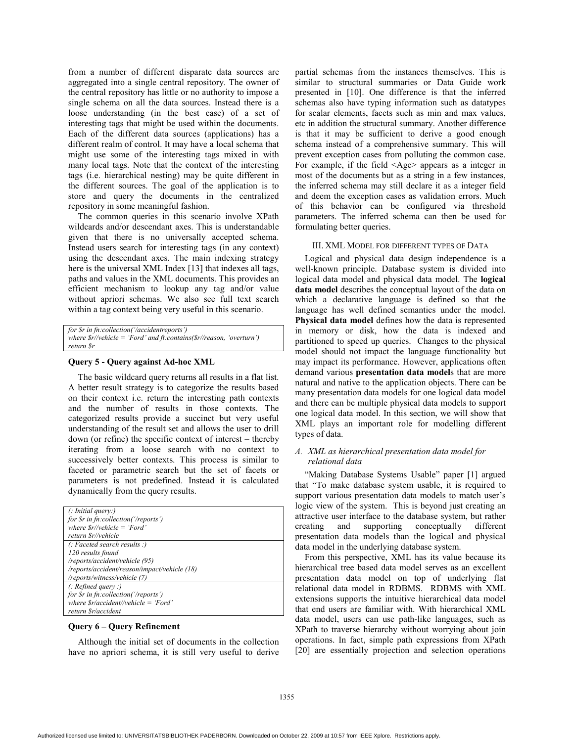from a number of different disparate data sources are aggregated into a single central repository. The owner of the central repository has little or no authority to impose a single schema on all the data sources. Instead there is a loose understanding (in the best case) of a set of interesting tags that might be used within the documents. Each of the different data sources (applications) has a different realm of control. It may have a local schema that might use some of the interesting tags mixed in with many local tags. Note that the context of the interesting tags (i.e. hierarchical nesting) may be quite different in the different sources. The goal of the application is to store and query the documents in the centralized repository in some meaningful fashion.

The common queries in this scenario involve XPath wildcards and/or descendant axes. This is understandable given that there is no universally accepted schema. Instead users search for interesting tags (in any context) using the descendant axes. The main indexing strategy here is the universal XML Index [13] that indexes all tags, paths and values in the XML documents. This provides an efficient mechanism to lookup any tag and/or value without apriori schemas. We also see full text search within a tag context being very useful in this scenario.

| for \$r in fn:collection('/accidentreports')                                                                                    |  |
|---------------------------------------------------------------------------------------------------------------------------------|--|
| where $\frac{S_r}{\text{right}} = 'Ford'$ and ft: contains $\frac{S_r}{\text{right}}$ (solution to $\frac{S_r}{\text{right}}$ ) |  |
| return Sr                                                                                                                       |  |

## **Query 5 - Query against Ad-hoc XML**

The basic wildcard query returns all results in a flat list. A better result strategy is to categorize the results based on their context i.e. return the interesting path contexts and the number of results in those contexts. The categorized results provide a succinct but very useful understanding of the result set and allows the user to drill down (or refine) the specific context of interest – thereby iterating from a loose search with no context to successively better contexts. This process is similar to faceted or parametric search but the set of facets or parameters is not predefined. Instead it is calculated dynamically from the query results.

#### **Query 6 – Query Refinement**

Although the initial set of documents in the collection have no apriori schema, it is still very useful to derive partial schemas from the instances themselves. This is similar to structural summaries or Data Guide work presented in [10]. One difference is that the inferred schemas also have typing information such as datatypes for scalar elements, facets such as min and max values, etc in addition the structural summary. Another difference is that it may be sufficient to derive a good enough schema instead of a comprehensive summary. This will prevent exception cases from polluting the common case. For example, if the field <Age> appears as a integer in most of the documents but as a string in a few instances, the inferred schema may still declare it as a integer field and deem the exception cases as validation errors. Much of this behavior can be configured via threshold parameters. The inferred schema can then be used for formulating better queries.

#### III. XML MODEL FOR DIFFERENT TYPES OF DATA

Logical and physical data design independence is a well-known principle. Database system is divided into logical data model and physical data model. The **logical data model** describes the conceptual layout of the data on which a declarative language is defined so that the language has well defined semantics under the model. **Physical data model** defines how the data is represented in memory or disk, how the data is indexed and partitioned to speed up queries. Changes to the physical model should not impact the language functionality but may impact its performance. However, applications often demand various **presentation data model**s that are more natural and native to the application objects. There can be many presentation data models for one logical data model and there can be multiple physical data models to support one logical data model. In this section, we will show that XML plays an important role for modelling different types of data.

## *A. XML as hierarchical presentation data model for relational data*

"Making Database Systems Usable" paper [1] argued that "To make database system usable, it is required to support various presentation data models to match user's logic view of the system. This is beyond just creating an attractive user interface to the database system, but rather creating and supporting conceptually different presentation data models than the logical and physical data model in the underlying database system.

From this perspective, XML has its value because its hierarchical tree based data model serves as an excellent presentation data model on top of underlying flat relational data model in RDBMS. RDBMS with XML extensions supports the intuitive hierarchical data model that end users are familiar with. With hierarchical XML data model, users can use path-like languages, such as XPath to traverse hierarchy without worrying about join operations. In fact, simple path expressions from XPath [20] are essentially projection and selection operations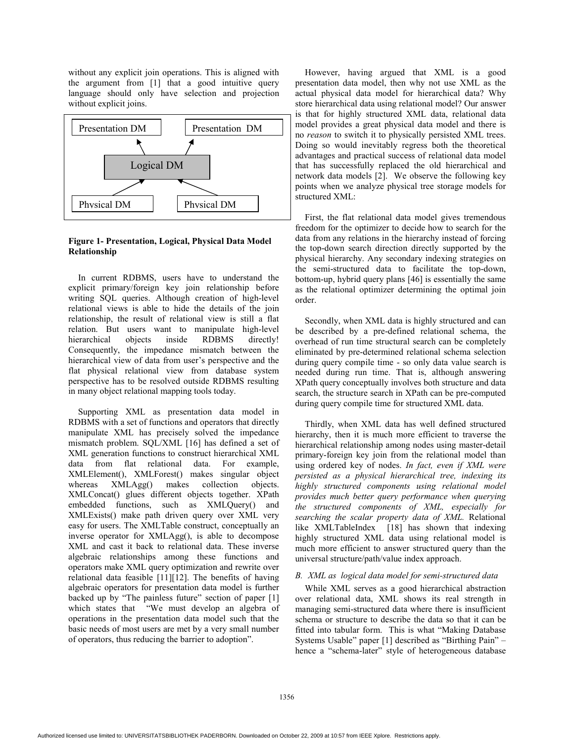without any explicit join operations. This is aligned with the argument from [1] that a good intuitive query language should only have selection and projection without explicit joins.



## **Figure 1- Presentation, Logical, Physical Data Model Relationship**

In current RDBMS, users have to understand the explicit primary/foreign key join relationship before writing SQL queries. Although creation of high-level relational views is able to hide the details of the join relationship, the result of relational view is still a flat relation. But users want to manipulate high-level hierarchical objects inside RDBMS directly! Consequently, the impedance mismatch between the hierarchical view of data from user's perspective and the flat physical relational view from database system perspective has to be resolved outside RDBMS resulting in many object relational mapping tools today.

Supporting XML as presentation data model in RDBMS with a set of functions and operators that directly manipulate XML has precisely solved the impedance mismatch problem. SQL/XML [16] has defined a set of XML generation functions to construct hierarchical XML data from flat relational data. For example, XMLElement(), XMLForest() makes singular object whereas XMLAgg() makes collection objects. XMLConcat() glues different objects together. XPath embedded functions, such as XMLQuery() and XMLExists() make path driven query over XML very easy for users. The XMLTable construct, conceptually an inverse operator for XMLAgg(), is able to decompose XML and cast it back to relational data. These inverse algebraic relationships among these functions and operators make XML query optimization and rewrite over relational data feasible [11][12]. The benefits of having algebraic operators for presentation data model is further backed up by "The painless future" section of paper [1] which states that "We must develop an algebra of operations in the presentation data model such that the basic needs of most users are met by a very small number of operators, thus reducing the barrier to adoption".

However, having argued that XML is a good presentation data model, then why not use XML as the actual physical data model for hierarchical data? Why store hierarchical data using relational model? Our answer is that for highly structured XML data, relational data model provides a great physical data model and there is no *reason* to switch it to physically persisted XML trees. Doing so would inevitably regress both the theoretical advantages and practical success of relational data model that has successfully replaced the old hierarchical and network data models [2]. We observe the following key points when we analyze physical tree storage models for structured XML:

First, the flat relational data model gives tremendous freedom for the optimizer to decide how to search for the data from any relations in the hierarchy instead of forcing the top-down search direction directly supported by the physical hierarchy. Any secondary indexing strategies on the semi-structured data to facilitate the top-down, bottom-up, hybrid query plans [46] is essentially the same as the relational optimizer determining the optimal join order.

Secondly, when XML data is highly structured and can be described by a pre-defined relational schema, the overhead of run time structural search can be completely eliminated by pre-determined relational schema selection during query compile time - so only data value search is needed during run time. That is, although answering XPath query conceptually involves both structure and data search, the structure search in XPath can be pre-computed during query compile time for structured XML data.

Thirdly, when XML data has well defined structured hierarchy, then it is much more efficient to traverse the hierarchical relationship among nodes using master-detail primary-foreign key join from the relational model than using ordered key of nodes. *In fact, even if XML were persisted as a physical hierarchical tree, indexing its highly structured components using relational model provides much better query performance when querying the structured components of XML, especially for searching the scalar property data of XML.* Relational like XMLTableIndex [18] has shown that indexing highly structured XML data using relational model is much more efficient to answer structured query than the universal structure/path/value index approach.

#### *B. XML as logical data model for semi-structured data*

While XML serves as a good hierarchical abstraction over relational data, XML shows its real strength in managing semi-structured data where there is insufficient schema or structure to describe the data so that it can be fitted into tabular form. This is what "Making Database Systems Usable" paper [1] described as "Birthing Pain" – hence a "schema-later" style of heterogeneous database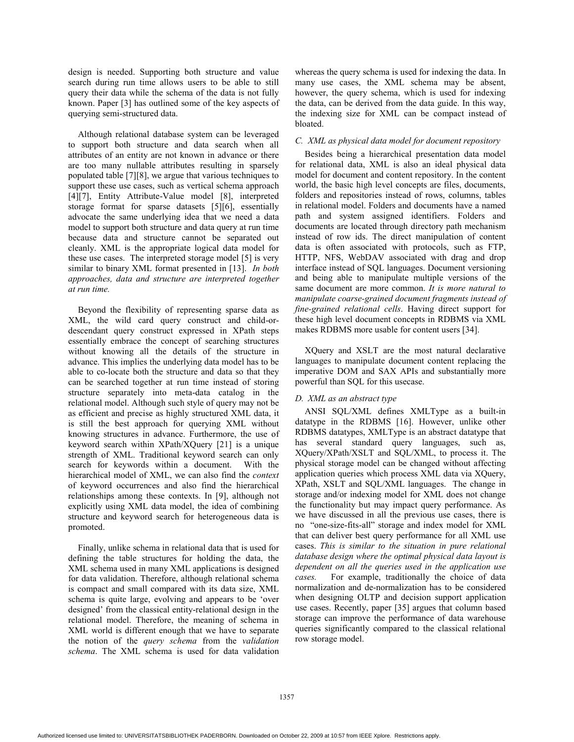design is needed. Supporting both structure and value search during run time allows users to be able to still query their data while the schema of the data is not fully known. Paper [3] has outlined some of the key aspects of querying semi-structured data.

Although relational database system can be leveraged to support both structure and data search when all attributes of an entity are not known in advance or there are too many nullable attributes resulting in sparsely populated table [7][8], we argue that various techniques to support these use cases, such as vertical schema approach [4][7], Entity Attribute-Value model [8], interpreted storage format for sparse datasets [5][6], essentially advocate the same underlying idea that we need a data model to support both structure and data query at run time because data and structure cannot be separated out cleanly. XML is the appropriate logical data model for these use cases. The interpreted storage model [5] is very similar to binary XML format presented in [13]. *In both approaches, data and structure are interpreted together at run time.*

Beyond the flexibility of representing sparse data as XML, the wild card query construct and child-ordescendant query construct expressed in XPath steps essentially embrace the concept of searching structures without knowing all the details of the structure in advance. This implies the underlying data model has to be able to co-locate both the structure and data so that they can be searched together at run time instead of storing structure separately into meta-data catalog in the relational model. Although such style of query may not be as efficient and precise as highly structured XML data, it is still the best approach for querying XML without knowing structures in advance. Furthermore, the use of keyword search within XPath/XQuery [21] is a unique strength of XML. Traditional keyword search can only search for keywords within a document. With the hierarchical model of XML, we can also find the *context* of keyword occurrences and also find the hierarchical relationships among these contexts. In [9], although not explicitly using XML data model, the idea of combining structure and keyword search for heterogeneous data is promoted.

Finally, unlike schema in relational data that is used for defining the table structures for holding the data, the XML schema used in many XML applications is designed for data validation. Therefore, although relational schema is compact and small compared with its data size, XML schema is quite large, evolving and appears to be 'over designed' from the classical entity-relational design in the relational model. Therefore, the meaning of schema in XML world is different enough that we have to separate the notion of the *query schema* from the *validation schema*. The XML schema is used for data validation

whereas the query schema is used for indexing the data. In many use cases, the XML schema may be absent, however, the query schema, which is used for indexing the data, can be derived from the data guide. In this way, the indexing size for XML can be compact instead of bloated.

#### *C. XML as physical data model for document repository*

Besides being a hierarchical presentation data model for relational data, XML is also an ideal physical data model for document and content repository. In the content world, the basic high level concepts are files, documents, folders and repositories instead of rows, columns, tables in relational model. Folders and documents have a named path and system assigned identifiers. Folders and documents are located through directory path mechanism instead of row ids. The direct manipulation of content data is often associated with protocols, such as FTP, HTTP, NFS, WebDAV associated with drag and drop interface instead of SQL languages. Document versioning and being able to manipulate multiple versions of the same document are more common. *It is more natural to manipulate coarse-grained document fragments instead of fine-grained relational cells*. Having direct support for these high level document concepts in RDBMS via XML makes RDBMS more usable for content users [34].

XQuery and XSLT are the most natural declarative languages to manipulate document content replacing the imperative DOM and SAX APIs and substantially more powerful than SQL for this usecase.

## *D. XML as an abstract type*

ANSI SQL/XML defines XMLType as a built-in datatype in the RDBMS [16]. However, unlike other RDBMS datatypes, XMLType is an abstract datatype that has several standard query languages, such as, XQuery/XPath/XSLT and SQL/XML, to process it. The physical storage model can be changed without affecting application queries which process XML data via XQuery, XPath, XSLT and SQL/XML languages. The change in storage and/or indexing model for XML does not change the functionality but may impact query performance. As we have discussed in all the previous use cases, there is no "one-size-fits-all" storage and index model for XML that can deliver best query performance for all XML use cases. *This is similar to the situation in pure relational database design where the optimal physical data layout is dependent on all the queries used in the application use cases.* For example, traditionally the choice of data normalization and de-normalization has to be considered when designing OLTP and decision support application use cases. Recently, paper [35] argues that column based storage can improve the performance of data warehouse queries significantly compared to the classical relational row storage model.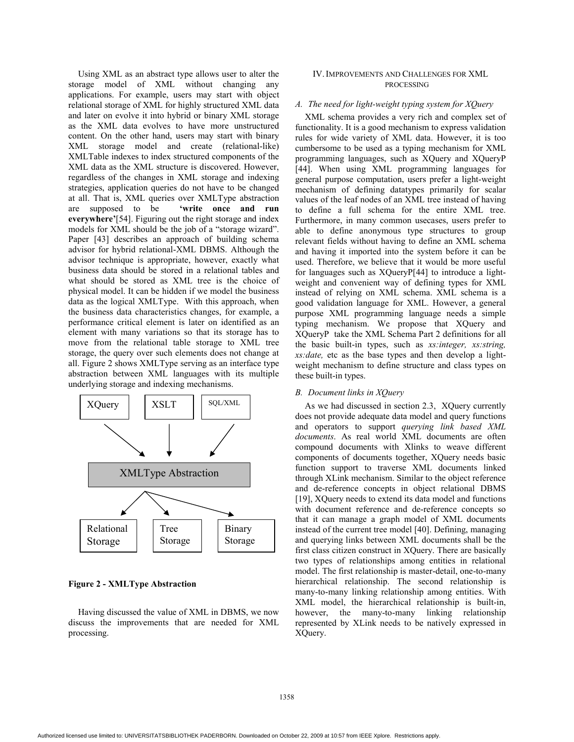Using XML as an abstract type allows user to alter the storage model of XML without changing any applications. For example, users may start with object relational storage of XML for highly structured XML data and later on evolve it into hybrid or binary XML storage as the XML data evolves to have more unstructured content. On the other hand, users may start with binary XML storage model and create (relational-like) XMLTable indexes to index structured components of the XML data as the XML structure is discovered. However, regardless of the changes in XML storage and indexing strategies, application queries do not have to be changed at all. That is, XML queries over XMLType abstraction are supposed to be **'write once and run everywhere'**[54]. Figuring out the right storage and index models for XML should be the job of a "storage wizard". Paper [43] describes an approach of building schema advisor for hybrid relational-XML DBMS. Although the advisor technique is appropriate, however, exactly what business data should be stored in a relational tables and what should be stored as XML tree is the choice of physical model. It can be hidden if we model the business data as the logical XMLType. With this approach, when the business data characteristics changes, for example, a performance critical element is later on identified as an element with many variations so that its storage has to move from the relational table storage to XML tree storage, the query over such elements does not change at all. Figure 2 shows XMLType serving as an interface type abstraction between XML languages with its multiple underlying storage and indexing mechanisms.



## **Figure 2 - XMLType Abstraction**

Having discussed the value of XML in DBMS, we now discuss the improvements that are needed for XML processing.

#### IV.IMPROVEMENTS AND CHALLENGES FOR XML PROCESSING

#### *A. The need for light-weight typing system for XQuery*

XML schema provides a very rich and complex set of functionality. It is a good mechanism to express validation rules for wide variety of XML data. However, it is too cumbersome to be used as a typing mechanism for XML programming languages, such as XQuery and XQueryP [44]. When using XML programming languages for general purpose computation, users prefer a light-weight mechanism of defining datatypes primarily for scalar values of the leaf nodes of an XML tree instead of having to define a full schema for the entire XML tree. Furthermore, in many common usecases, users prefer to able to define anonymous type structures to group relevant fields without having to define an XML schema and having it imported into the system before it can be used. Therefore, we believe that it would be more useful for languages such as XQueryP[44] to introduce a lightweight and convenient way of defining types for XML instead of relying on XML schema. XML schema is a good validation language for XML. However, a general purpose XML programming language needs a simple typing mechanism. We propose that XQuery and XQueryP take the XML Schema Part 2 definitions for all the basic built-in types, such as *xs:integer, xs:string, xs:date,* etc as the base types and then develop a lightweight mechanism to define structure and class types on these built-in types.

#### *B. Document links in XQuery*

As we had discussed in section 2.3, XQuery currently does not provide adequate data model and query functions and operators to support *querying link based XML documents*. As real world XML documents are often compound documents with Xlinks to weave different components of documents together, XQuery needs basic function support to traverse XML documents linked through XLink mechanism. Similar to the object reference and de-reference concepts in object relational DBMS [19], XQuery needs to extend its data model and functions with document reference and de-reference concepts so that it can manage a graph model of XML documents instead of the current tree model [40]. Defining, managing and querying links between XML documents shall be the first class citizen construct in XQuery. There are basically two types of relationships among entities in relational model. The first relationship is master-detail, one-to-many hierarchical relationship. The second relationship is many-to-many linking relationship among entities. With XML model, the hierarchical relationship is built-in, however, the many-to-many linking relationship represented by XLink needs to be natively expressed in XQuery.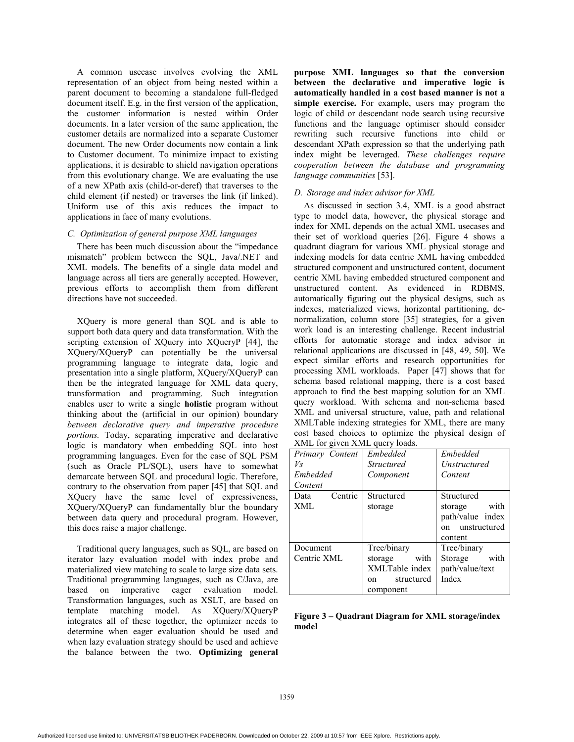A common usecase involves evolving the XML representation of an object from being nested within a parent document to becoming a standalone full-fledged document itself. E.g. in the first version of the application, the customer information is nested within Order documents. In a later version of the same application, the customer details are normalized into a separate Customer document. The new Order documents now contain a link to Customer document. To minimize impact to existing applications, it is desirable to shield navigation operations from this evolutionary change. We are evaluating the use of a new XPath axis (child-or-deref) that traverses to the child element (if nested) or traverses the link (if linked). Uniform use of this axis reduces the impact to applications in face of many evolutions.

#### *C. Optimization of general purpose XML languages*

There has been much discussion about the "impedance mismatch" problem between the SQL, Java/.NET and XML models. The benefits of a single data model and language across all tiers are generally accepted. However, previous efforts to accomplish them from different directions have not succeeded.

XQuery is more general than SQL and is able to support both data query and data transformation. With the scripting extension of XQuery into XQueryP [44], the XQuery/XQueryP can potentially be the universal programming language to integrate data, logic and presentation into a single platform, XQuery/XQueryP can then be the integrated language for XML data query, transformation and programming. Such integration enables user to write a single **holistic** program without thinking about the (artificial in our opinion) boundary *between declarative query and imperative procedure portions.* Today, separating imperative and declarative logic is mandatory when embedding SQL into host programming languages. Even for the case of SQL PSM (such as Oracle PL/SQL), users have to somewhat demarcate between SQL and procedural logic. Therefore, contrary to the observation from paper [45] that SQL and XQuery have the same level of expressiveness, XQuery/XQueryP can fundamentally blur the boundary between data query and procedural program. However, this does raise a major challenge.

Traditional query languages, such as SQL, are based on iterator lazy evaluation model with index probe and materialized view matching to scale to large size data sets. Traditional programming languages, such as C/Java, are based on imperative eager evaluation model. Transformation languages, such as XSLT, are based on template matching model. As XQuery/XQueryP integrates all of these together, the optimizer needs to determine when eager evaluation should be used and when lazy evaluation strategy should be used and achieve the balance between the two. **Optimizing general** 

**purpose XML languages so that the conversion between the declarative and imperative logic is automatically handled in a cost based manner is not a simple exercise.** For example, users may program the logic of child or descendant node search using recursive functions and the language optimiser should consider rewriting such recursive functions into child or descendant XPath expression so that the underlying path index might be leveraged. *These challenges require cooperation between the database and programming language communities* [53].

#### *D. Storage and index advisor for XML*

As discussed in section 3.4, XML is a good abstract type to model data, however, the physical storage and index for XML depends on the actual XML usecases and their set of workload queries [26]. Figure 4 shows a quadrant diagram for various XML physical storage and indexing models for data centric XML having embedded structured component and unstructured content, document centric XML having embedded structured component and unstructured content. As evidenced in RDBMS, automatically figuring out the physical designs, such as indexes, materialized views, horizontal partitioning, denormalization, column store [35] strategies, for a given work load is an interesting challenge. Recent industrial efforts for automatic storage and index advisor in relational applications are discussed in [48, 49, 50]. We expect similar efforts and research opportunities for processing XML workloads. Paper [47] shows that for schema based relational mapping, there is a cost based approach to find the best mapping solution for an XML query workload. With schema and non-schema based XML and universal structure, value, path and relational XMLTable indexing strategies for XML, there are many cost based choices to optimize the physical design of XML for given XML query loads.

| Primary Content | <b>Embedded</b>          | <b>Embedded</b>     |  |
|-----------------|--------------------------|---------------------|--|
| Vs              | <i>Structured</i>        | <b>Unstructured</b> |  |
| Embedded        | Component                | Content             |  |
| Content         |                          |                     |  |
| Centric<br>Data | Structured               | Structured          |  |
| XML             | storage                  | with<br>storage     |  |
|                 |                          | path/value index    |  |
|                 |                          | unstructured<br>on  |  |
|                 |                          | content             |  |
| Document        | Tree/binary              | Tree/binary         |  |
| Centric XML     | with<br>storage          | with<br>Storage     |  |
|                 | XMLTable index           | path/value/text     |  |
|                 | structured<br>$\alpha$ n | Index               |  |
|                 | component                |                     |  |

## **Figure 3 – Quadrant Diagram for XML storage/index model**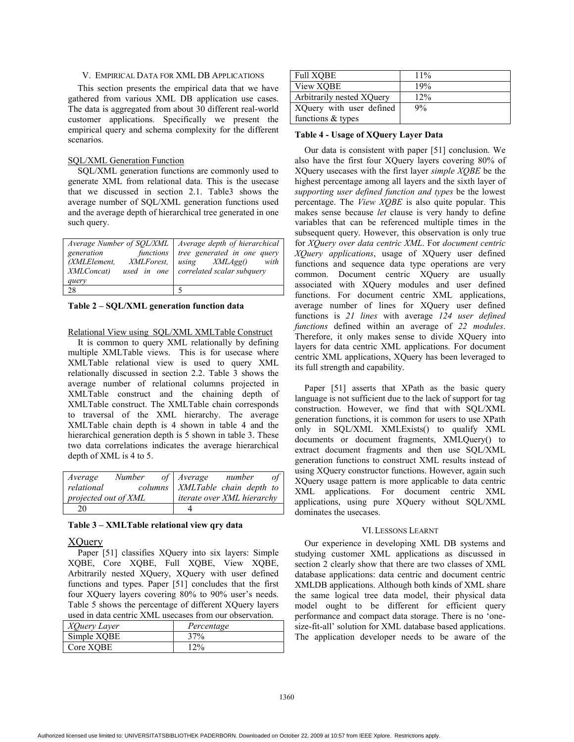#### V. EMPIRICAL DATA FOR XML DB APPLICATIONS

This section presents the empirical data that we have gathered from various XML DB application use cases. The data is aggregated from about 30 different real-world customer applications. Specifically we present the empirical query and schema complexity for the different scenarios.

## SQL/XML Generation Function

SQL/XML generation functions are commonly used to generate XML from relational data. This is the usecase that we discussed in section 2.1. Table3 shows the average number of SQL/XML generation functions used and the average depth of hierarchical tree generated in one such query.

| Average Number of SQL/XML   Average depth of hierarchical |                                        |
|-----------------------------------------------------------|----------------------------------------|
| generation                                                | functions tree generated in one query  |
| XMLForest,<br>(XMLElement,                                | $using$ $XMLAgg()$<br>with             |
| XMLConcat)                                                | used in one correlated scalar subquery |
| query                                                     |                                        |
| -28                                                       |                                        |

#### **Table 2 – SQL/XML generation function data**

#### Relational View using SQL/XML XMLTable Construct

It is common to query XML relationally by defining multiple XMLTable views. This is for usecase where XMLTable relational view is used to query XML relationally discussed in section 2.2. Table 3 shows the average number of relational columns projected in XMLTable construct and the chaining depth of XMLTable construct. The XMLTable chain corresponds to traversal of the XML hierarchy. The average XMLTable chain depth is 4 shown in table 4 and the hierarchical generation depth is 5 shown in table 3. These two data correlations indicates the average hierarchical depth of XML is 4 to 5.

| Average              | Number | of Average | number                            | οf |
|----------------------|--------|------------|-----------------------------------|----|
| relational           |        |            | columns   XMLTable chain depth to |    |
| projected out of XML |        |            | iterate over XML hierarchy        |    |
| 20                   |        |            |                                   |    |

## **Table 3 – XMLTable relational view qry data**

## XQuery

Paper [51] classifies XQuery into six layers: Simple XQBE, Core XQBE, Full XQBE, View XQBE, Arbitrarily nested XQuery, XQuery with user defined functions and types. Paper [51] concludes that the first four XQuery layers covering 80% to 90% user's needs. Table 5 shows the percentage of different XQuery layers used in data centric XML usecases from our observation.

| XQuery Layer | Percentage |
|--------------|------------|
| Simple XOBE  | 37%        |
| Core XOBE    | 12%        |

| <b>Full XOBE</b>          | $11\%$ |
|---------------------------|--------|
| View XQBE                 | 19%    |
| Arbitrarily nested XQuery | 12%    |
| XQuery with user defined  | 9%     |
| functions & types         |        |

#### **Table 4 - Usage of XQuery Layer Data**

Our data is consistent with paper [51] conclusion. We also have the first four XQuery layers covering 80% of XQuery usecases with the first layer *simple XQBE* be the highest percentage among all layers and the sixth layer of *supporting user defined function and types* be the lowest percentage. The *View XQBE* is also quite popular. This makes sense because *let* clause is very handy to define variables that can be referenced multiple times in the subsequent query. However, this observation is only true for *XQuery over data centric XML*. For *document centric XQuery applications*, usage of XQuery user defined functions and sequence data type operations are very common. Document centric XQuery are usually associated with XQuery modules and user defined functions. For document centric XML applications, average number of lines for XQuery user defined functions is *21 lines* with average *124 user defined functions* defined within an average of *22 modules*. Therefore, it only makes sense to divide XQuery into layers for data centric XML applications. For document centric XML applications, XQuery has been leveraged to its full strength and capability.

Paper [51] asserts that XPath as the basic query language is not sufficient due to the lack of support for tag construction. However, we find that with SQL/XML generation functions, it is common for users to use XPath only in SQL/XML XMLExists() to qualify XML documents or document fragments, XMLQuery() to extract document fragments and then use SQL/XML generation functions to construct XML results instead of using XQuery constructor functions. However, again such XQuery usage pattern is more applicable to data centric XML applications. For document centric XML applications, using pure XQuery without SQL/XML dominates the usecases.

#### VI.LESSONS LEARNT

Our experience in developing XML DB systems and studying customer XML applications as discussed in section 2 clearly show that there are two classes of XML database applications: data centric and document centric XMLDB applications. Although both kinds of XML share the same logical tree data model, their physical data model ought to be different for efficient query performance and compact data storage. There is no 'onesize-fit-all' solution for XML database based applications. The application developer needs to be aware of the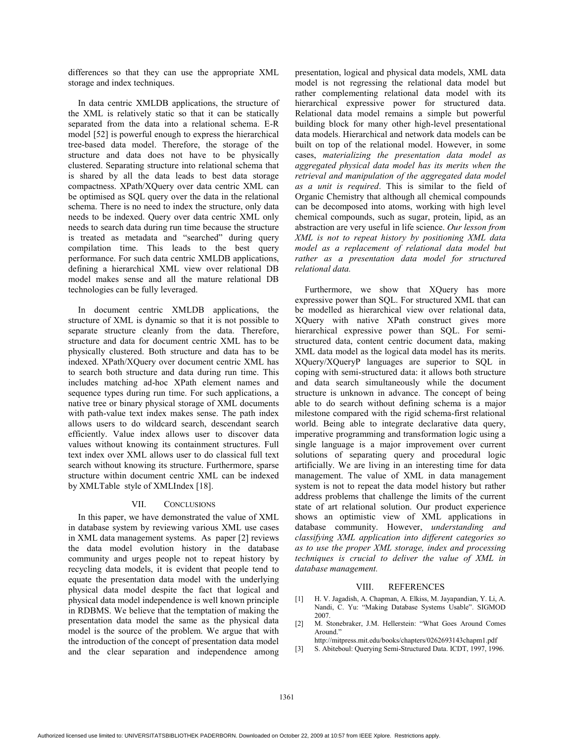differences so that they can use the appropriate XML storage and index techniques.

In data centric XMLDB applications, the structure of the XML is relatively static so that it can be statically separated from the data into a relational schema. E-R model [52] is powerful enough to express the hierarchical tree-based data model. Therefore, the storage of the structure and data does not have to be physically clustered. Separating structure into relational schema that is shared by all the data leads to best data storage compactness. XPath/XQuery over data centric XML can be optimised as SQL query over the data in the relational schema. There is no need to index the structure, only data needs to be indexed. Query over data centric XML only needs to search data during run time because the structure is treated as metadata and "searched" during query compilation time. This leads to the best query performance. For such data centric XMLDB applications, defining a hierarchical XML view over relational DB model makes sense and all the mature relational DB technologies can be fully leveraged.

In document centric XMLDB applications, the structure of XML is dynamic so that it is not possible to separate structure cleanly from the data. Therefore, structure and data for document centric XML has to be physically clustered. Both structure and data has to be indexed. XPath/XQuery over document centric XML has to search both structure and data during run time. This includes matching ad-hoc XPath element names and sequence types during run time. For such applications, a native tree or binary physical storage of XML documents with path-value text index makes sense. The path index allows users to do wildcard search, descendant search efficiently. Value index allows user to discover data values without knowing its containment structures. Full text index over XML allows user to do classical full text search without knowing its structure. Furthermore, sparse structure within document centric XML can be indexed by XMLTable style of XMLIndex [18].

#### VII. CONCLUSIONS

In this paper, we have demonstrated the value of XML in database system by reviewing various XML use cases in XML data management systems. As paper [2] reviews the data model evolution history in the database community and urges people not to repeat history by recycling data models, it is evident that people tend to equate the presentation data model with the underlying physical data model despite the fact that logical and physical data model independence is well known principle in RDBMS. We believe that the temptation of making the presentation data model the same as the physical data model is the source of the problem. We argue that with the introduction of the concept of presentation data model and the clear separation and independence among presentation, logical and physical data models, XML data model is not regressing the relational data model but rather complementing relational data model with its hierarchical expressive power for structured data. Relational data model remains a simple but powerful building block for many other high-level presentational data models. Hierarchical and network data models can be built on top of the relational model. However, in some cases, *materializing the presentation data model as aggregated physical data model has its merits when the retrieval and manipulation of the aggregated data model as a unit is required*. This is similar to the field of Organic Chemistry that although all chemical compounds can be decomposed into atoms, working with high level chemical compounds, such as sugar, protein, lipid, as an abstraction are very useful in life science. *Our lesson from XML is not to repeat history by positioning XML data model as a replacement of relational data model but rather as a presentation data model for structured relational data.*

Furthermore, we show that XQuery has more expressive power than SQL. For structured XML that can be modelled as hierarchical view over relational data, XQuery with native XPath construct gives more hierarchical expressive power than SQL. For semistructured data, content centric document data, making XML data model as the logical data model has its merits. XQuery/XQueryP languages are superior to SQL in coping with semi-structured data: it allows both structure and data search simultaneously while the document structure is unknown in advance. The concept of being able to do search without defining schema is a major milestone compared with the rigid schema-first relational world. Being able to integrate declarative data query, imperative programming and transformation logic using a single language is a major improvement over current solutions of separating query and procedural logic artificially. We are living in an interesting time for data management. The value of XML in data management system is not to repeat the data model history but rather address problems that challenge the limits of the current state of art relational solution. Our product experience shows an optimistic view of XML applications in database community. However, *understanding and classifying XML application into different categories so as to use the proper XML storage, index and processing techniques is crucial to deliver the value of XML in database management.*

## VIII. REFERENCES

- [1] H. V. Jagadish, A. Chapman, A. Elkiss, M. Jayapandian, Y. Li, A. Nandi, C. Yu: "Making Database Systems Usable". SIGMOD 2007.
- [2] M. Stonebraker, J.M. Hellerstein: "What Goes Around Comes Around<sup>"</sup>

http://mitpress.mit.edu/books/chapters/0262693143chapm1.pdf

[3] S. Abiteboul: Querying Semi-Structured Data. ICDT, 1997, 1996.